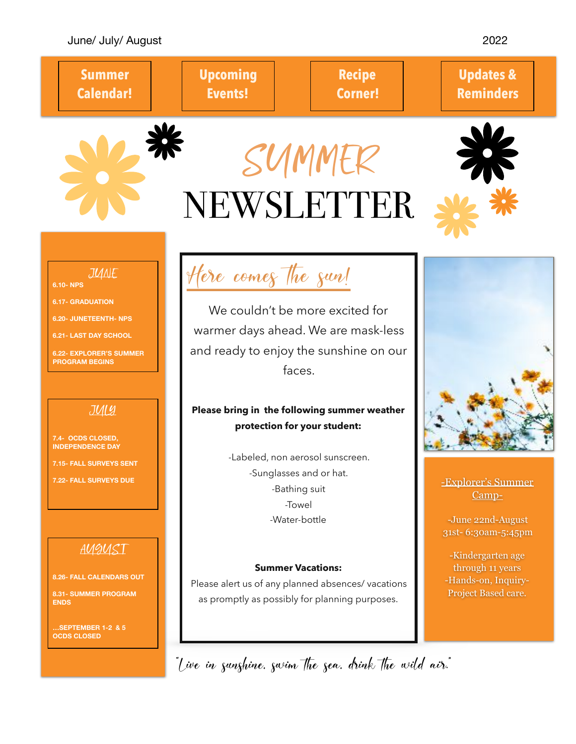### June/ July/ August 2022